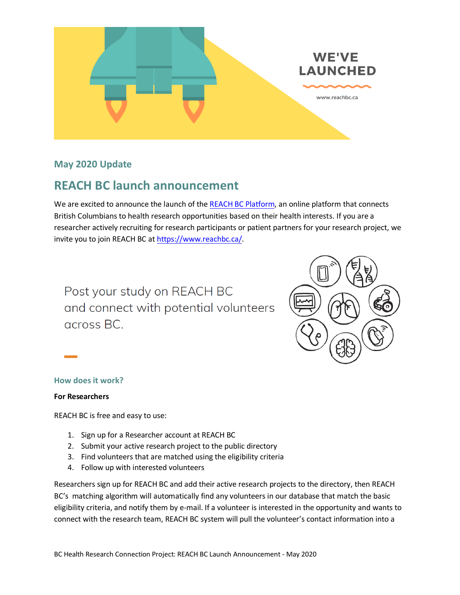

# **May 2020 Update**

# **REACH BC launch announcement**

We are excited to announce the launch of the [REACH BC Platform,](https://www.reachbc.ca/) an online platform that connects British Columbians to health research opportunities based on their health interests. If you are a researcher actively recruiting for research participants or patient partners for your research project, we invite you to join REACH BC a[t https://www.reachbc.ca/.](https://www.reachbc.ca/)

Post your study on REACH BC and connect with potential volunteers across BC.



## **How does it work?**

#### **For Researchers**

REACH BC is free and easy to use:

- 1. Sign up for a Researcher account at REACH BC
- 2. Submit your active research project to the public directory
- 3. Find volunteers that are matched using the eligibility criteria
- 4. Follow up with interested volunteers

Researchers sign up for REACH BC and add their active research projects to the directory, then REACH BC's matching algorithm will automatically find any volunteers in our database that match the basic eligibility criteria, and notify them by e-mail. If a volunteer is interested in the opportunity and wants to connect with the research team, REACH BC system will pull the volunteer's contact information into a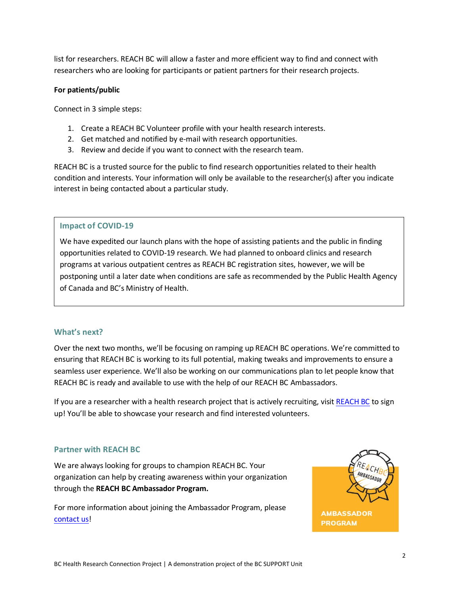list for researchers. REACH BC will allow a faster and more efficient way to find and connect with researchers who are looking for participants or patient partners for their research projects.

#### **For patients/public**

Connect in 3 simple steps:

- 1. Create a REACH BC Volunteer profile with your health research interests.
- 2. Get matched and notified by e-mail with research opportunities.
- 3. Review and decide if you want to connect with the research team.

REACH BC is a trusted source for the public to find research opportunities related to their health condition and interests. Your information will only be available to the researcher(s) after you indicate interest in being contacted about a particular study.

## **Impact of COVID-19**

We have expedited our launch plans with the hope of assisting patients and the public in finding opportunities related to COVID-19 research. We had planned to onboard clinics and research programs at various outpatient centres as REACH BC registration sites, however, we will be postponing until a later date when conditions are safe as recommended by the Public Health Agency of Canada and BC's Ministry of Health.

#### **What's next?**

Over the next two months, we'll be focusing on ramping up REACH BC operations. We're committed to ensuring that REACH BC is working to its full potential, making tweaks and improvements to ensure a seamless user experience. We'll also be working on our communications plan to let people know that REACH BC is ready and available to use with the help of our REACH BC Ambassadors.

If you are a researcher with a health research project that is actively recruiting, visit [REACH BC](https://www.reachbc.ca/) to sign up! You'll be able to showcase your research and find interested volunteers.

## **Partner with REACH BC**

We are always looking for groups to champion REACH BC. Your organization can help by creating awareness within your organization through the **REACH BC Ambassador Program.**

For more information about joining the Ambassador Program, please [contact us!](mailto:stefanie.cheah@vch.ca)